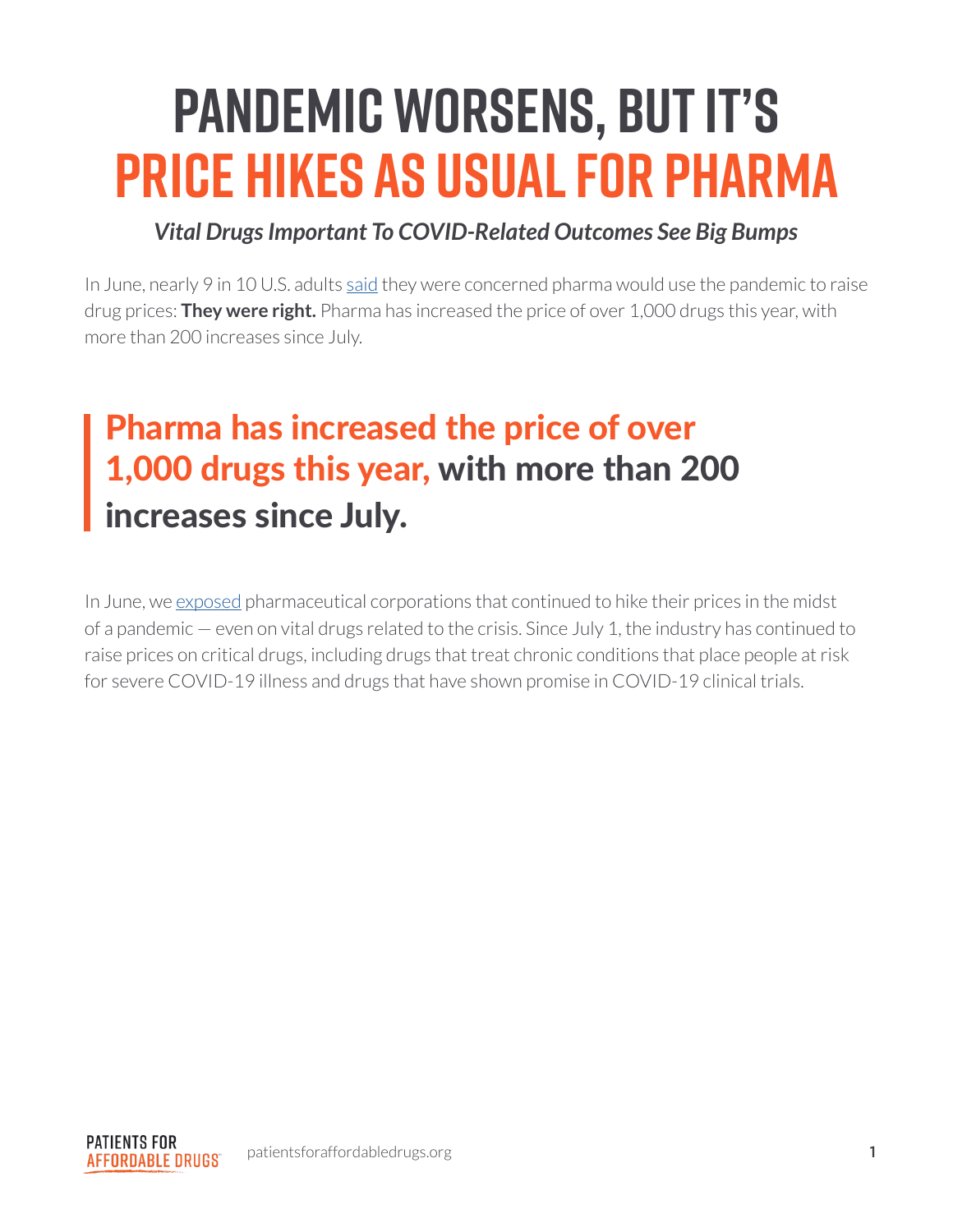# **Pandemic Worsens, But It's Price Hikes As Usual For Pharma**

#### *Vital Drugs Important To COVID-Related Outcomes See Big Bumps*

In June, nearly 9 in 10 U.S. adults [said](https://news.gallup.com/poll/312641/nine-concerned-rising-drug-costs-due-covid.aspx) they were concerned pharma would use the pandemic to raise drug prices: **They were right.** Pharma has increased the price of over 1,000 drugs this year, with more than 200 increases since July.

# Pharma has increased the price of over 1,000 drugs this year, with more than 200 increases since July.

In June, we [exposed](https://patientsforaffordabledrugs.org/2020/06/28/covid-price-hikes-report/) pharmaceutical corporations that continued to hike their prices in the midst of a pandemic — even on vital drugs related to the crisis. Since July 1, the industry has continued to raise prices on critical drugs, including drugs that treat chronic conditions that place people at risk for severe COVID-19 illness and drugs that have shown promise in COVID-19 clinical trials.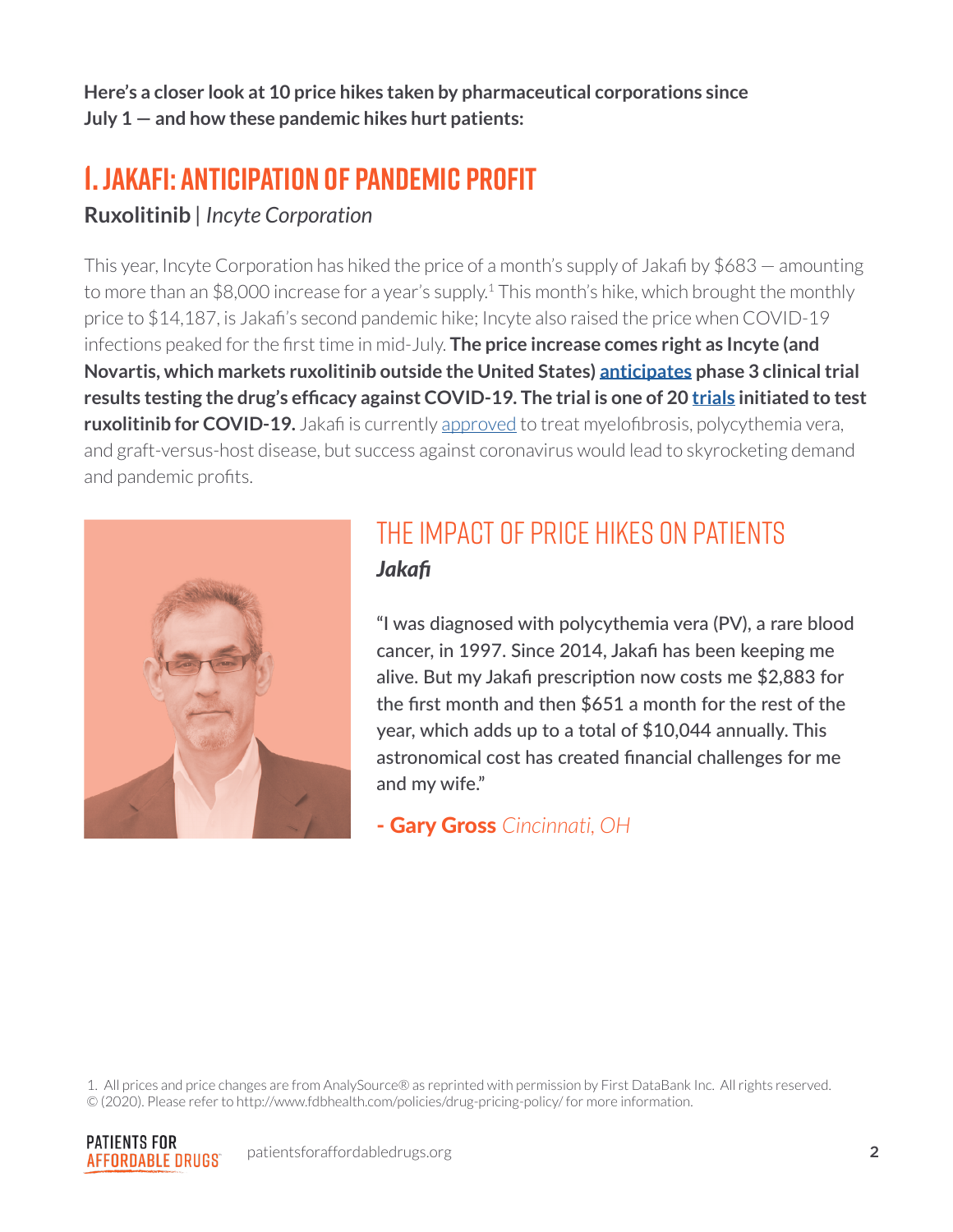**Here's a closer look at 10 price hikes taken by pharmaceutical corporations since July 1 — and how these pandemic hikes hurt patients:**

### **1. Jakafi: Anticipation of Pandemic Profit**

#### **Ruxolitinib** *| Incyte Corporation*

This year, Incyte Corporation has hiked the price of a month's supply of Jakafi by \$683 — amounting to more than an \$8,000 increase for a year's supply.<sup>1</sup> This month's hike, which brought the monthly price to \$14,187, is Jakafi's second pandemic hike; Incyte also raised the price when COVID-19 infections peaked for the first time in mid-July. **The price increase comes right as Incyte (and Novartis, which markets ruxolitinib outside the United States) [anticipates](https://www.nasdaq.com/articles/incyte-incy-q3-earnings-sales-miss-jakafi-demand-strong-2020-11-05) phase 3 clinical trial results testing the drug's efficacy against COVID-19. The trial is one of 20 [trials](https://clinicaltrials.gov/ct2/results?cond=covid-19&term=jakafi&cntry=&state=&city=&dist=&Search=Search) initiated to test ruxolitinib for COVID-19.** Jakafi is currently [approved](https://www.accessdata.fda.gov/drugsatfda_docs/label/2019/202192s017lbl.pdf) to treat myelofibrosis, polycythemia vera, and graft-versus-host disease, but success against coronavirus would lead to skyrocketing demand and pandemic profits.



#### The impact of price hikes on patients *Jakafi*

"I was diagnosed with polycythemia vera (PV), a rare blood cancer, in 1997. Since 2014, Jakafi has been keeping me alive. But my Jakafi prescription now costs me \$2,883 for the first month and then \$651 a month for the rest of the year, which adds up to a total of \$10,044 annually. This astronomical cost has created financial challenges for me and my wife."

- Gary Gross *Cincinnati, OH* 

1. All prices and price changes are from AnalySource® as reprinted with permission by First DataBank Inc. All rights reserved. © (2020). Please refer to http://www.fdbhealth.com/policies/drug-pricing-policy/ for more information.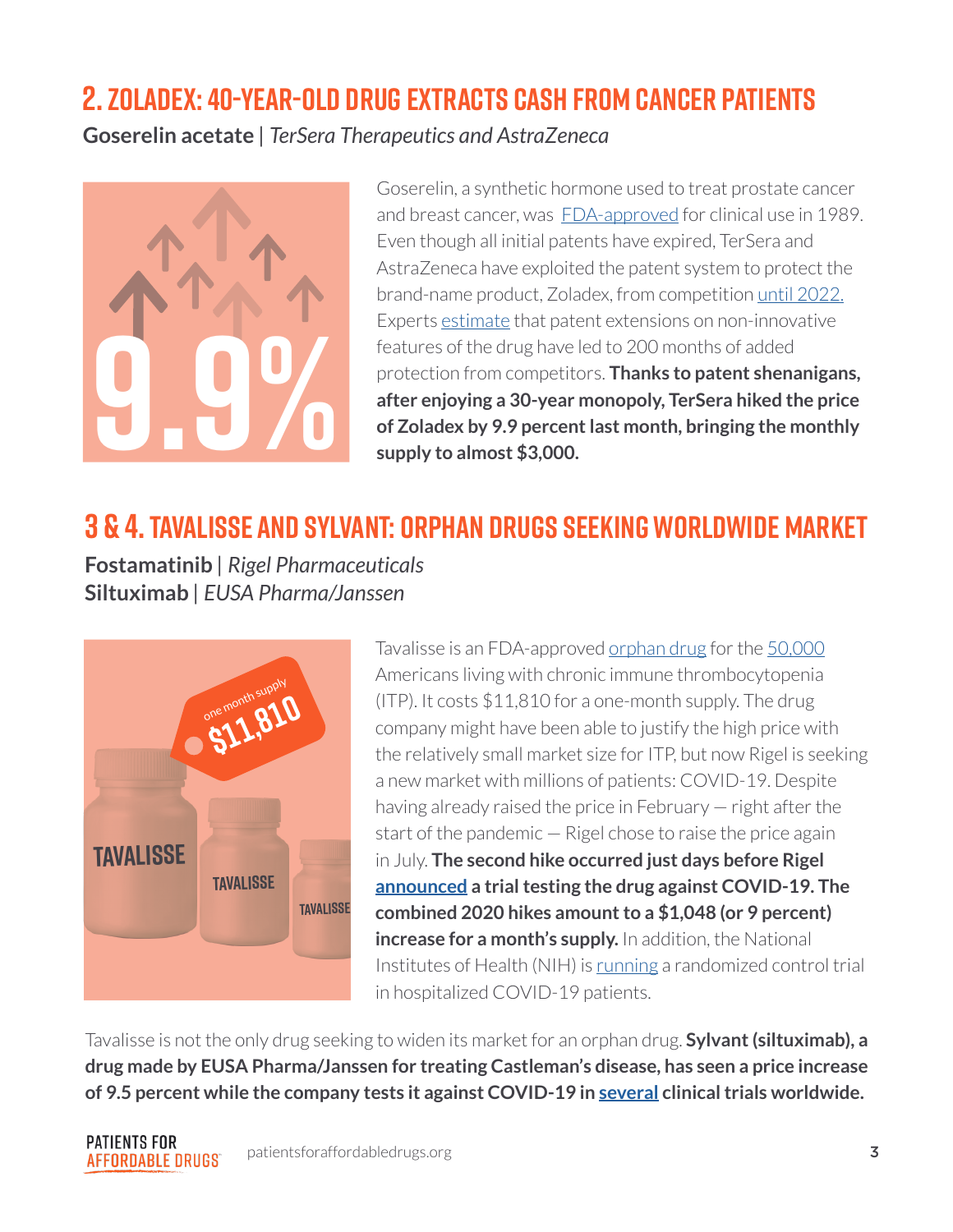#### **2. Zoladex: 40-Year-Old Drug Extracts Cash from Cancer Patients**

**Goserelin acetate** *| TerSera Therapeutics and AstraZeneca*



Goserelin, a synthetic hormone used to treat prostate cancer and breast cancer, was [FDA-approved](https://www.accessdata.fda.gov/drugsatfda_docs/label/2009/019726s050s051s052lbl.pdf) for clinical use in 1989. Even though all initial patents have expired, TerSera and AstraZeneca have exploited the patent system to protect the brand-name product, Zoladex, from competition [until 2022.](https://www.accessdata.fda.gov/scripts/cder/ob/patent_info.cfm?Product_No=001&Appl_No=019726&Appl_type=N) Experts [estimate](https://sites.uchastings.edu/evergreensearch/) that patent extensions on non-innovative features of the drug have led to 200 months of added protection from competitors. **Thanks to patent shenanigans, after enjoying a 30-year monopoly, TerSera hiked the price**  Features of the drug have led to 200 months of added<br>protection from competitors. **Thanks to patent shenanigans,**<br>after enjoying a 30-year monopoly, TerSera hiked the price<br>of Zoladex by 9.9 percent last month, bringing th

# **3 & 4. Tavalisse and Sylvant: Orphan drugs seeking worldwide market**

**Fostamatinib** *| Rigel Pharmaceuticals* **Siltuximab** *| EUSA Pharma/Janssen*



Tavalisse is an FDA-approved [orphan drug](https://www.accessdata.fda.gov/drugsatfda_docs/appletter/2018/209299Orig1s000ltr.pdf) for the [50,000](https://www.pdsa.org/about-itp/in-adults.html) Americans living with chronic immune thrombocytopenia (ITP). It costs \$11,810 for a one-month supply. The drug company might have been able to justify the high price with the relatively small market size for ITP, but now Rigel is seeking a new market with millions of patients: COVID-19. Despite having already raised the price in February — right after the start of the pandemic — Rigel chose to raise the price again in July. **The second hike occurred just days before Rigel [announced](https://www.prnewswire.com/news-releases/rigel-announces-investigator-sponsored-trial-of-fostamatinib-in-patients-with-covid-19-pneumonia-301092803.html) a trial testing the drug against COVID-19. The combined 2020 hikes amount to a \$1,048 (or 9 percent) increase for a month's supply.** In addition, the National Institutes of Health (NIH) is [running](https://www.nhlbi.nih.gov/news/2020/can-treatment-rare-blood-disorder-offset-extreme-immune-responses-covid-19) a randomized control trial in hospitalized COVID-19 patients.

Tavalisse is not the only drug seeking to widen its market for an orphan drug. **Sylvant (siltuximab), a drug made by EUSA Pharma/Janssen for treating Castleman's disease, has seen a price increase of 9.5 percent while the company tests it against COVID-19 in [several](https://clinicaltrials.gov/ct2/results?cond=covid-19&term=sylvant&cntry=&state=&city=&dist=&Search=Search) clinical trials worldwide.**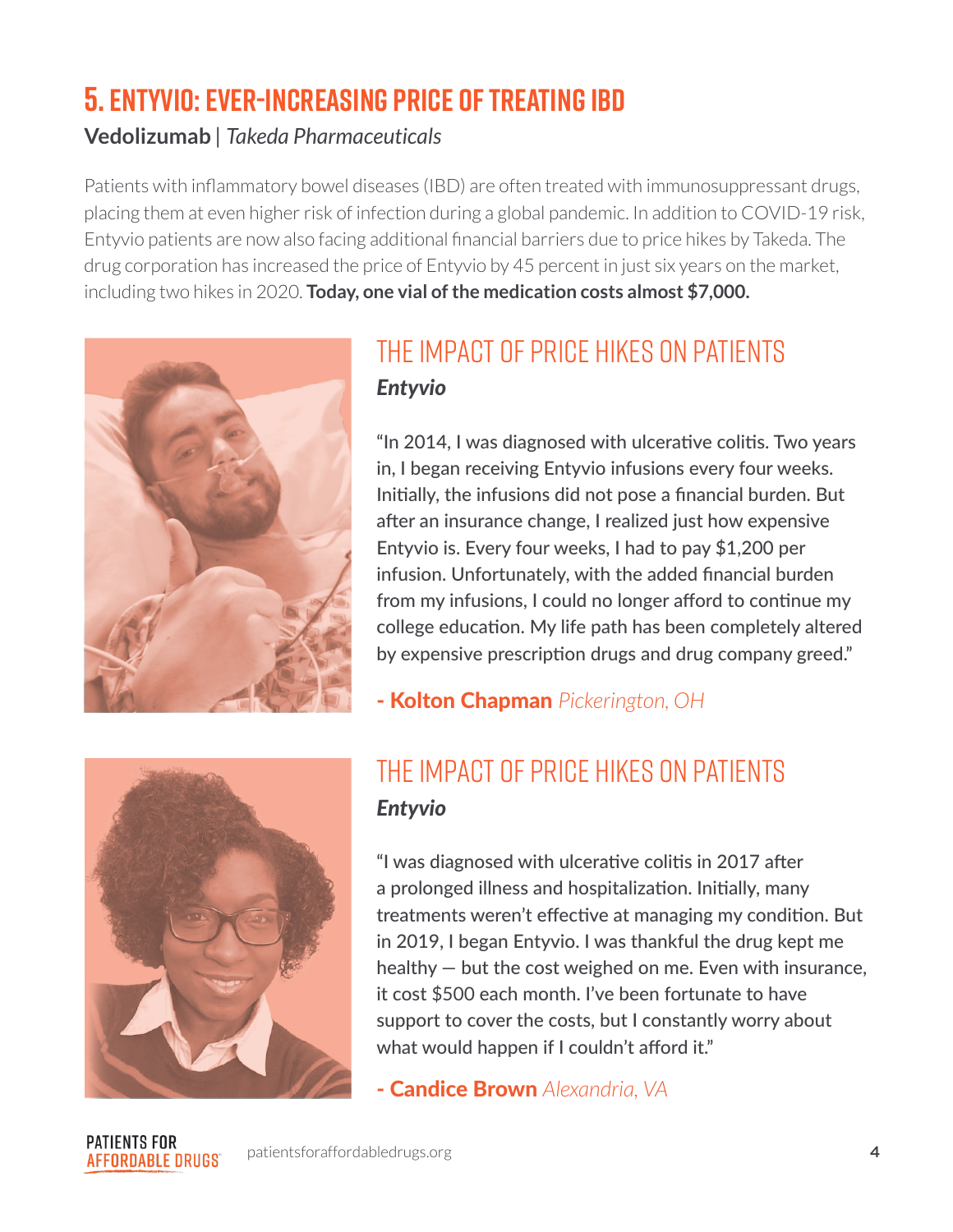# **5. Entyvio: Ever-Increasing Price of Treating IBD**

#### **Vedolizumab** *| Takeda Pharmaceuticals*

Patients with inflammatory bowel diseases (IBD) are often treated with immunosuppressant drugs, placing them at even higher risk of infection during a global pandemic. In addition to COVID-19 risk, Entyvio patients are now also facing additional financial barriers due to price hikes by Takeda. The drug corporation has increased the price of Entyvio by 45 percent in just six years on the market, including two hikes in 2020. **Today, one vial of the medication costs almost \$7,000.** 



#### The impact of price hikes on patients *Entyvio*

"In 2014, I was diagnosed with ulcerative colitis. Two years in, I began receiving Entyvio infusions every four weeks. Initially, the infusions did not pose a financial burden. But after an insurance change, I realized just how expensive Entyvio is. Every four weeks, I had to pay \$1,200 per infusion. Unfortunately, with the added financial burden from my infusions, I could no longer afford to continue my college education. My life path has been completely altered by expensive prescription drugs and drug company greed."

- Kolton Chapman *Pickerington, OH* 



#### The impact of price hikes on patients *Entyvio*

"I was diagnosed with ulcerative colitis in 2017 after a prolonged illness and hospitalization. Initially, many treatments weren't effective at managing my condition. But in 2019, I began Entyvio. I was thankful the drug kept me healthy — but the cost weighed on me. Even with insurance, it cost \$500 each month. I've been fortunate to have support to cover the costs, but I constantly worry about what would happen if I couldn't afford it."

- Candice Brown *Alexandria, VA* 

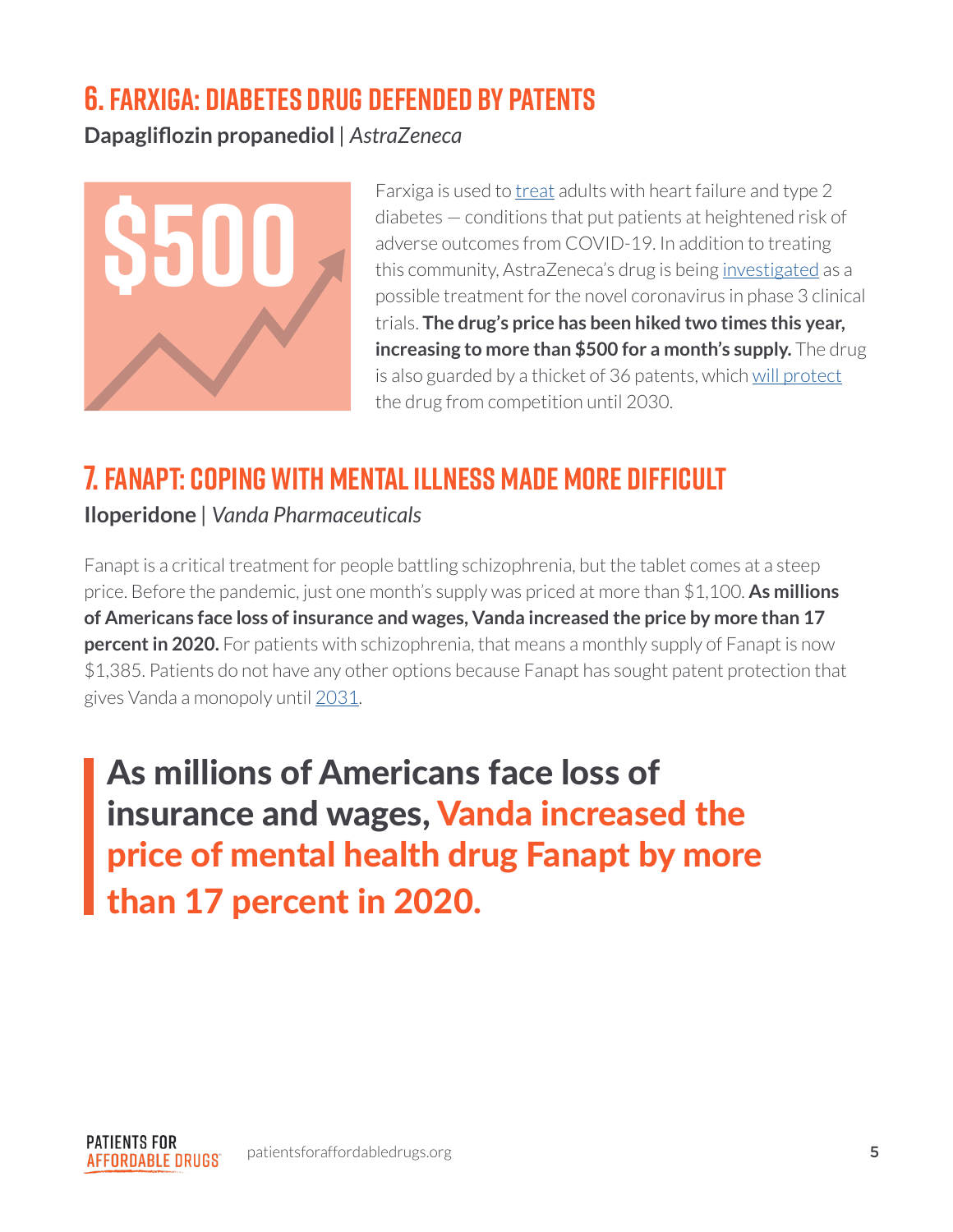#### **6. Farxiga: Diabetes Drug Defended by Patents**

**Dapagliflozin propanediol** *| AstraZeneca*



Farxiga is used to [treat](https://www.accessdata.fda.gov/drugsatfda_docs/label/2020/202293s020lbl.pdf) adults with heart failure and type 2 diabetes — conditions that put patients at heightened risk of adverse outcomes from COVID-19. In addition to treating this community, AstraZeneca's drug is being [investigated](https://www.astrazeneca.com/media-centre/press-releases/2020/astrazeneca-and-saint-lukes-mid-america-heart-institute-initiate-phase-iii-dare-19-trial-with-farxiga-in-covid-19-patients.html) as a possible treatment for the novel coronavirus in phase 3 clinical trials. **The drug's price has been hiked two times this year, increasing to more than \$500 for a month's supply.** The drug is also guarded by a thicket of 36 patents, which [will protect](https://sites.uchastings.edu/evergreensearch/) the drug from competition until 2030.

# **7. Fanapt: Coping with Mental Illness Made More Difficult**

**Iloperidone** *| Vanda Pharmaceuticals*

Fanapt is a critical treatment for people battling schizophrenia, but the tablet comes at a steep price. Before the pandemic, just one month's supply was priced at more than \$1,100. **As millions of Americans face loss of insurance and wages, Vanda increased the price by more than 17 percent in 2020.** For patients with schizophrenia, that means a monthly supply of Fanapt is now \$1,385. Patients do not have any other options because Fanapt has sought patent protection that gives Vanda a monopoly until [2031](https://sites.uchastings.edu/evergreensearch/).

As millions of Americans face loss of insurance and wages, Vanda increased the price of mental health drug Fanapt by more than 17 percent in 2020.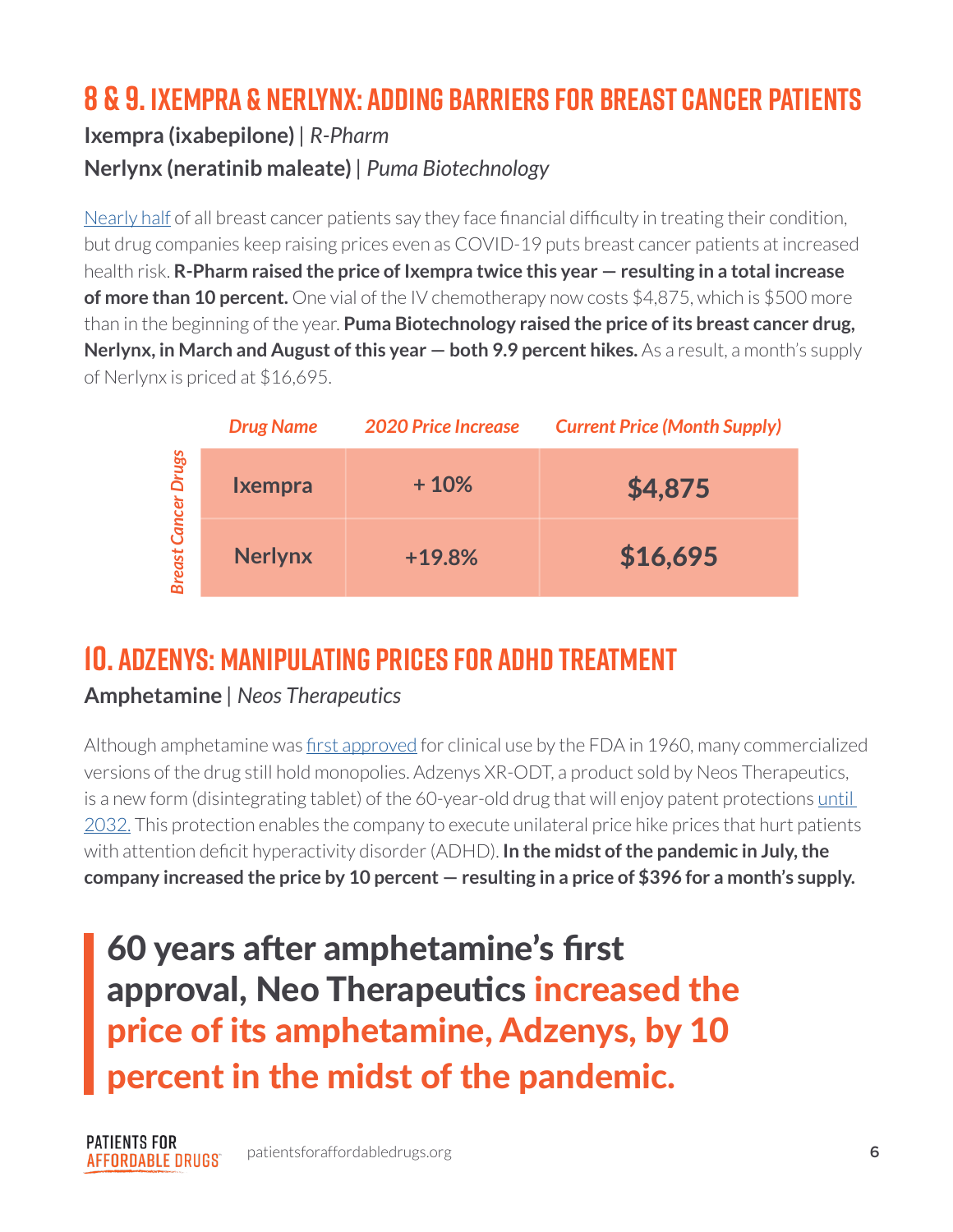## **8 & 9. Ixempra & Nerlynx: Adding Barriers for Breast Cancer Patients**

#### **Ixempra (ixabepilone)** *| R-Pharm* **Nerlynx (neratinib maleate)** *| Puma Biotechnology*

[Nearly half](https://ascopubs.org/doi/full/10.1200/JCO.2017.77.6310) of all breast cancer patients say they face financial difficulty in treating their condition, but drug companies keep raising prices even as COVID-19 puts breast cancer patients at increased health risk. **R-Pharm raised the price of Ixempra twice this year — resulting in a total increase of more than 10 percent.** One vial of the IV chemotherapy now costs \$4,875, which is \$500 more than in the beginning of the year. **Puma Biotechnology raised the price of its breast cancer drug, Nerlynx, in March and August of this year – both 9.9 percent hikes.** As a result, a month's supply of Nerlynx is priced at \$16,695.

| <b>Cancer Drugs</b><br><b>Breast</b> | <b>Drug Name</b> | <b>2020 Price Increase</b> | <b>Current Price (Month Supply)</b> |
|--------------------------------------|------------------|----------------------------|-------------------------------------|
|                                      | Ixempra          | $+10%$                     | \$4,875                             |
|                                      | <b>Nerlynx</b>   | $+19.8%$                   | \$16,695                            |

### **10. Adzenys: Manipulating Prices for ADHD Treatment**

#### **Amphetamine** *| Neos Therapeutics*

Although amphetamine was [first approved](https://www.accessdata.fda.gov/scripts/cder/daf/index.cfm?event=overview.process&ApplNo=011522) for clinical use by the FDA in 1960, many commercialized versions of the drug still hold monopolies. Adzenys XR-ODT, a product sold by Neos Therapeutics, is a new form (disintegrating tablet) of the 60-year-old drug that will enjoy patent protections [until](https://www.accessdata.fda.gov/scripts/cder/ob/patent_info.cfm?Product_No=001&Appl_No=204326&Appl_type=N)  [2032.](https://www.accessdata.fda.gov/scripts/cder/ob/patent_info.cfm?Product_No=001&Appl_No=204326&Appl_type=N) This protection enables the company to execute unilateral price hike prices that hurt patients with attention deficit hyperactivity disorder (ADHD). **In the midst of the pandemic in July, the company increased the price by 10 percent — resulting in a price of \$396 for a month's supply.** 

60 years after amphetamine's first approval, Neo Therapeutics increased the price of its amphetamine, Adzenys, by 10 percent in the midst of the pandemic.